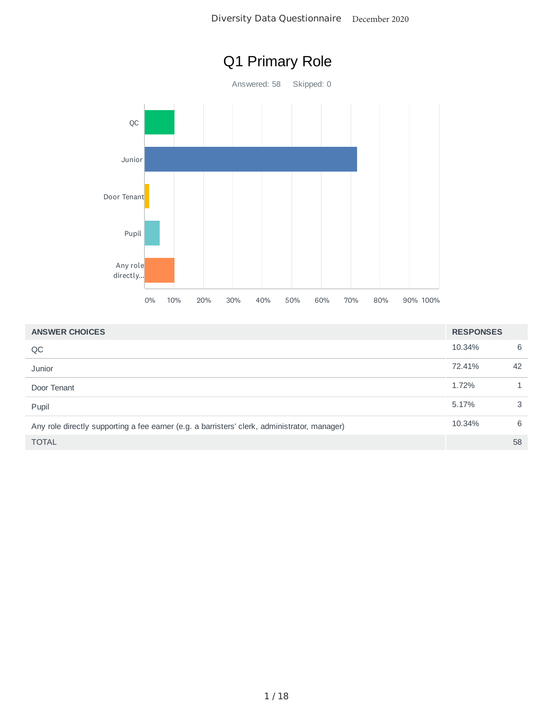



| <b>ANSWER CHOICES</b>                                                                        | <b>RESPONSES</b> |    |
|----------------------------------------------------------------------------------------------|------------------|----|
| QC                                                                                           | 10.34%           | 6  |
| Junior                                                                                       | 72.41%           | 42 |
| Door Tenant                                                                                  | 1.72%            |    |
| Pupil                                                                                        | 5.17%            | 3  |
| Any role directly supporting a fee earner (e.g. a barristers' clerk, administrator, manager) | 10.34%           | 6  |
| <b>TOTAL</b>                                                                                 |                  | 58 |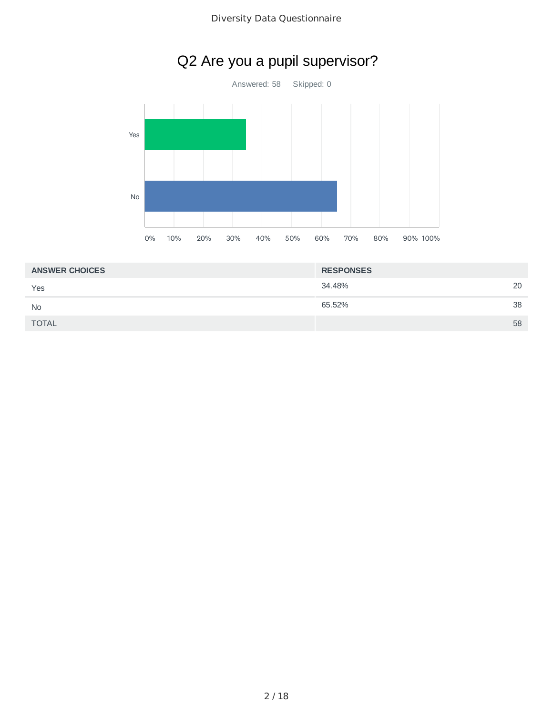

| Q2 Are you a pupil supervisor? |  |  |  |  |  |
|--------------------------------|--|--|--|--|--|
|--------------------------------|--|--|--|--|--|

| <b>ANSWER CHOICES</b> | <b>RESPONSES</b> |    |
|-----------------------|------------------|----|
| Yes                   | 34.48%           | 20 |
| <b>No</b>             | 65.52%           | 38 |
| <b>TOTAL</b>          |                  | 58 |
|                       |                  |    |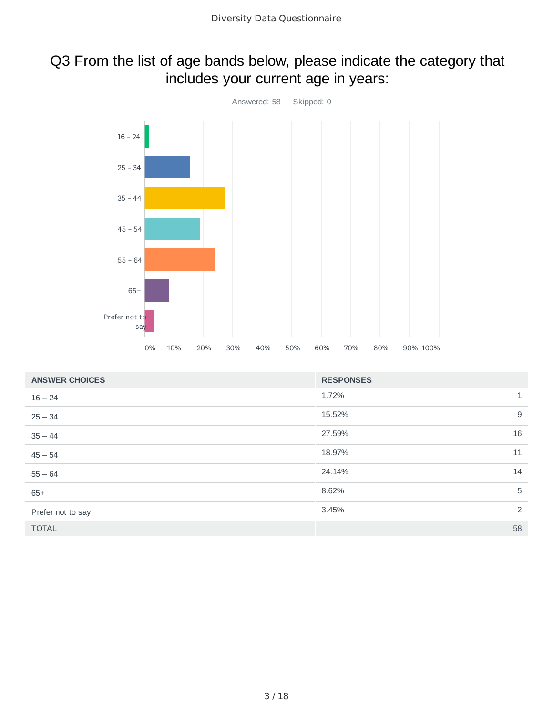### Q3 From the list of age bands below, please indicate the category that includes your current age in years:



| <b>ANSWER CHOICES</b> | <b>RESPONSES</b> |              |
|-----------------------|------------------|--------------|
| $16 - 24$             | 1.72%            | $\mathbf{1}$ |
| $25 - 34$             | 15.52%           | 9            |
| $35 - 44$             | 27.59%           | 16           |
| $45 - 54$             | 18.97%           | 11           |
| $55 - 64$             | 24.14%           | 14           |
| $65+$                 | 8.62%            | 5            |
| Prefer not to say     | 3.45%            | 2            |
| <b>TOTAL</b>          |                  | 58           |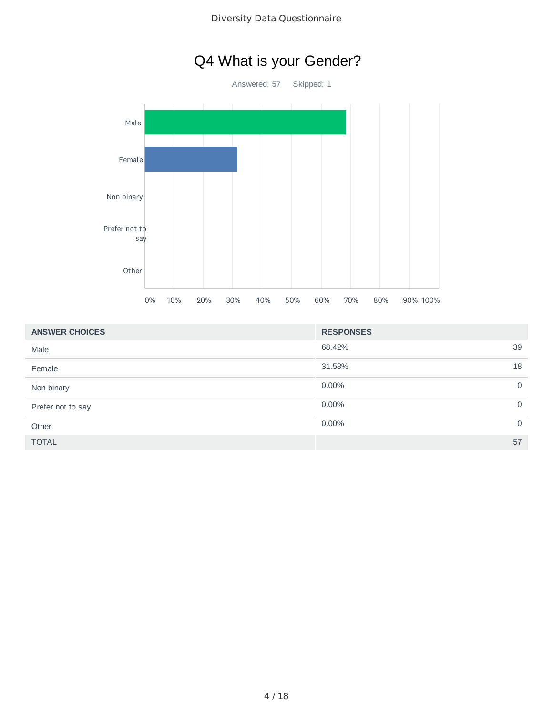## Q4 What is your Gender?

Answered: 57 Skipped: 1 Male Female Non binary Prefer not to say Other 0% 10% 20% 30% 40% 50% 60% 70% 80% 90% 100%

| <b>ANSWER CHOICES</b> | <b>RESPONSES</b> |             |
|-----------------------|------------------|-------------|
| Male                  | 68.42%<br>39     |             |
| Female                | 31.58%<br>18     |             |
| Non binary            | 0.00%            | 0           |
| Prefer not to say     | 0.00%            | $\mathbf 0$ |
| Other                 | 0.00%            | $\mathbf 0$ |
| <b>TOTAL</b>          | 57               |             |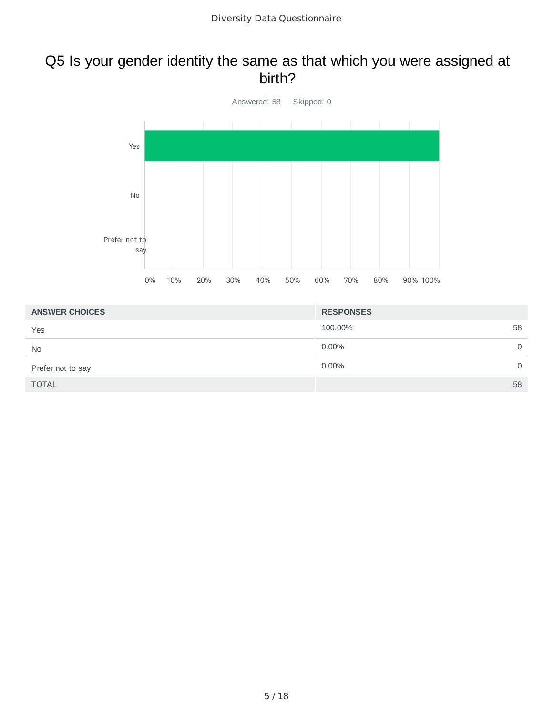#### Q5 Is your gender identity the same as that which you were assigned at birth?



| <b>ANSWER CHOICES</b> | <b>RESPONSES</b>  |
|-----------------------|-------------------|
| Yes                   | 100.00%<br>58     |
| <b>No</b>             | 0.00%<br>0        |
| Prefer not to say     | 0.00%<br>$\Omega$ |
| <b>TOTAL</b>          | 58                |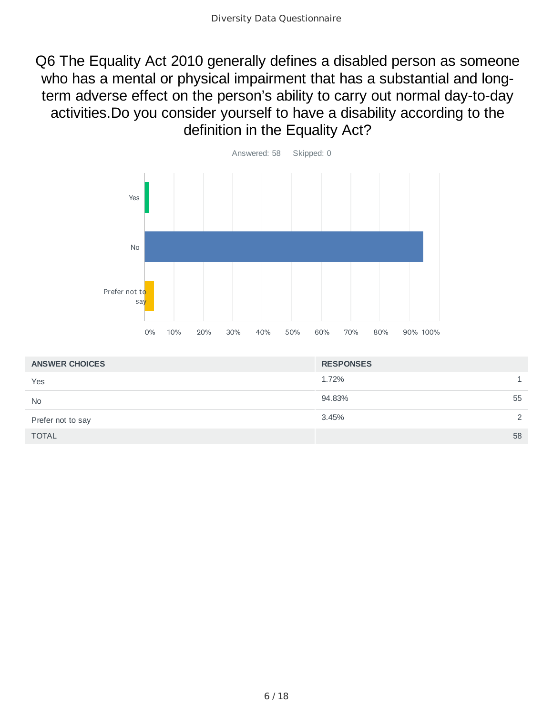Q6 The Equality Act 2010 generally defines a disabled person as someone who has a mental or physical impairment that has a substantial and longterm adverse effect on the person's ability to carry out normal day-to-day activities.Do you consider yourself to have a disability according to the definition in the Equality Act?



| <b>ANSWER CHOICES</b> | <b>RESPONSES</b> |
|-----------------------|------------------|
| Yes                   | 1.72%            |
| <b>No</b>             | 94.83%<br>55     |
| Prefer not to say     | 3.45%<br>2       |
| <b>TOTAL</b>          | 58               |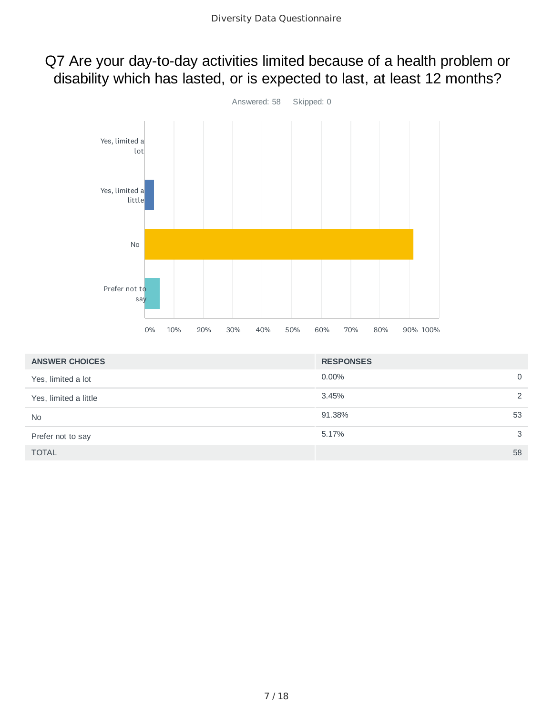### Q7 Are your day-to-day activities limited because of a health problem or disability which has lasted, or is expected to last, at least 12 months?



| <b>ANSWER CHOICES</b> | <b>RESPONSES</b> |          |
|-----------------------|------------------|----------|
| Yes, limited a lot    | 0.00%            | $\Omega$ |
| Yes, limited a little | 3.45%            | 2        |
| <b>No</b>             | 91.38%           | 53       |
| Prefer not to say     | 5.17%            | 3        |
| <b>TOTAL</b>          |                  | 58       |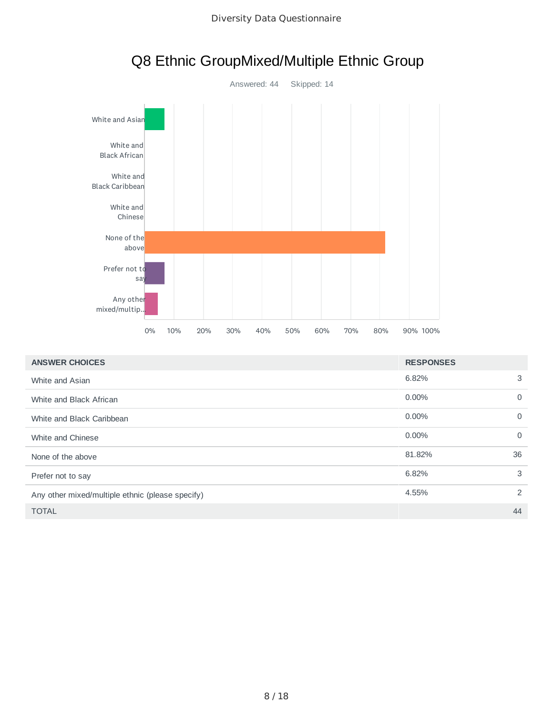

# Q8 Ethnic GroupMixed/Multiple Ethnic Group

| <b>ANSWER CHOICES</b>                            | <b>RESPONSES</b> |                |
|--------------------------------------------------|------------------|----------------|
| White and Asian                                  | 6.82%            | 3              |
| White and Black African                          | 0.00%            | 0              |
| White and Black Caribbean                        | $0.00\%$         | $\Omega$       |
| White and Chinese                                | $0.00\%$         | $\mathbf 0$    |
| None of the above                                | 81.82%           | 36             |
| Prefer not to say                                | 6.82%            | 3              |
| Any other mixed/multiple ethnic (please specify) | 4.55%            | $\overline{2}$ |
| <b>TOTAL</b>                                     |                  | 44             |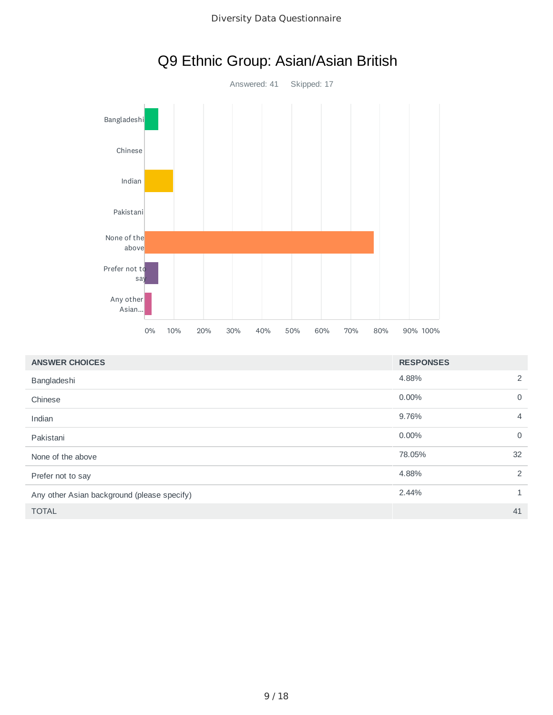

|  | Q9 Ethnic Group: Asian/Asian British |  |
|--|--------------------------------------|--|
|--|--------------------------------------|--|

| <b>ANSWER CHOICES</b>                       | <b>RESPONSES</b> |                |
|---------------------------------------------|------------------|----------------|
| Bangladeshi                                 | 4.88%            | 2              |
| Chinese                                     | 0.00%            | $\Omega$       |
| Indian                                      | 9.76%            | 4              |
| Pakistani                                   | 0.00%            | $\Omega$       |
| None of the above                           | 78.05%           | 32             |
| Prefer not to say                           | 4.88%            | $\overline{2}$ |
| Any other Asian background (please specify) | 2.44%            |                |
| <b>TOTAL</b>                                |                  | 41             |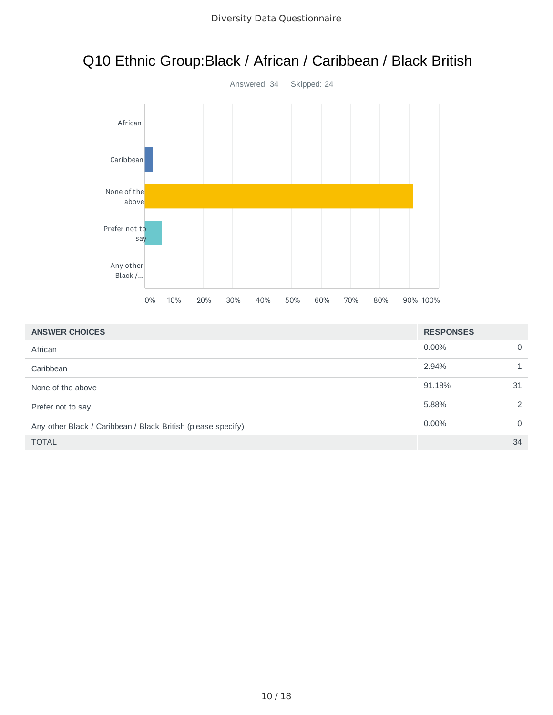# Q10 Ethnic Group:Black / African / Caribbean / Black British



| <b>ANSWER CHOICES</b>                                        | <b>RESPONSES</b> |               |
|--------------------------------------------------------------|------------------|---------------|
| African                                                      | $0.00\%$         | 0             |
| Caribbean                                                    | 2.94%            |               |
| None of the above                                            | 91.18%           | 31            |
| Prefer not to say                                            | 5.88%            | $\mathcal{P}$ |
| Any other Black / Caribbean / Black British (please specify) | $0.00\%$         | $\Omega$      |
| <b>TOTAL</b>                                                 |                  | 34            |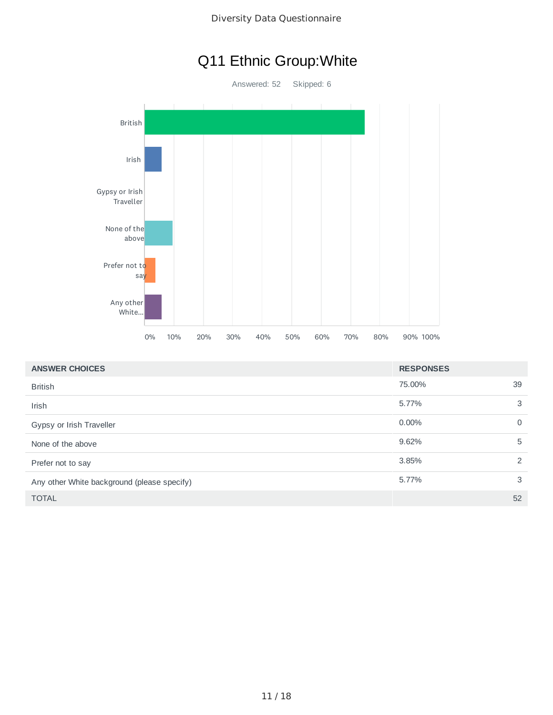## Q11 Ethnic Group:White

Answered: 52 Skipped: 6 British Irish Gypsy or Irish Traveller None of the above Prefer not to say Any other White... 0% 10% 20% 30% 40% 50% 60% 70% 80% 90% 100%

| <b>ANSWER CHOICES</b>                       | <b>RESPONSES</b> |          |
|---------------------------------------------|------------------|----------|
| <b>British</b>                              | 75.00%           | 39       |
| Irish                                       | 5.77%            | 3        |
| Gypsy or Irish Traveller                    | $0.00\%$         | $\Omega$ |
| None of the above                           | 9.62%            | 5        |
| Prefer not to say                           | 3.85%            | 2        |
| Any other White background (please specify) | 5.77%            | 3        |
| <b>TOTAL</b>                                |                  | 52       |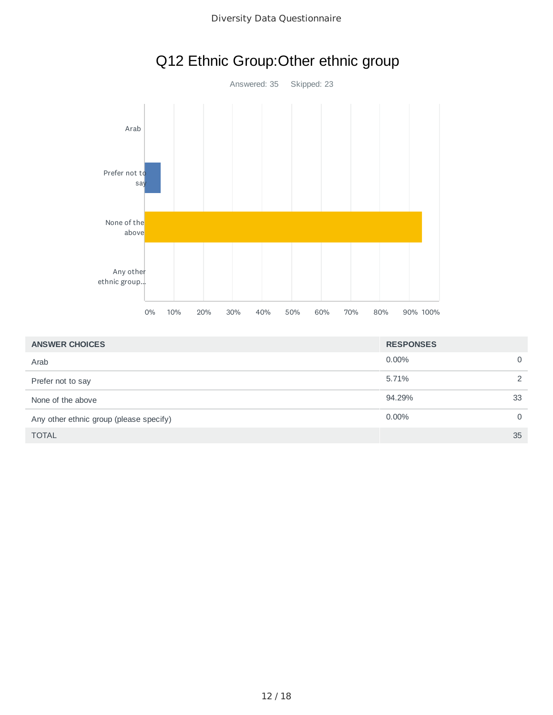

|  | Q12 Ethnic Group: Other ethnic group |  |  |
|--|--------------------------------------|--|--|
|--|--------------------------------------|--|--|

| <b>ANSWER CHOICES</b>                   | <b>RESPONSES</b> |    |
|-----------------------------------------|------------------|----|
| Arab                                    | $0.00\%$         |    |
| Prefer not to say                       | 5.71%            |    |
| None of the above                       | 94.29%           | 33 |
| Any other ethnic group (please specify) | $0.00\%$         | U  |
| <b>TOTAL</b>                            |                  | 35 |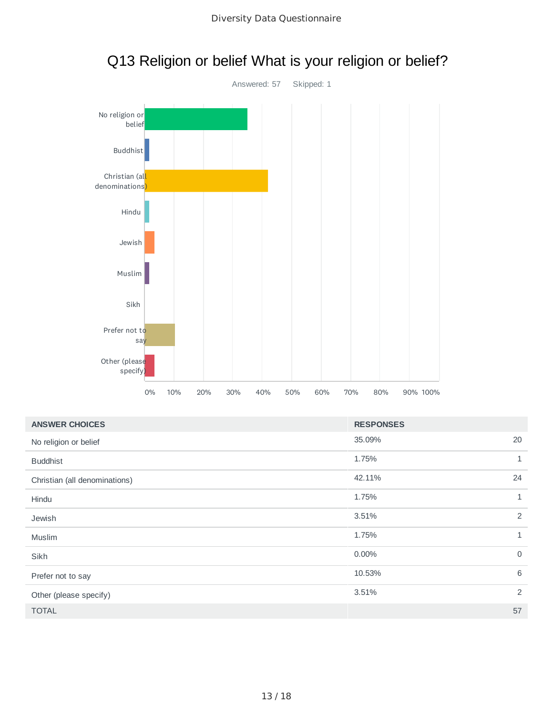

## Q13 Religion or belief What is your religion or belief?

| <b>ANSWER CHOICES</b>         | <b>RESPONSES</b> |              |
|-------------------------------|------------------|--------------|
| No religion or belief         | 35.09%           | 20           |
| <b>Buddhist</b>               | 1.75%            | 1            |
| Christian (all denominations) | 42.11%           | 24           |
| Hindu                         | 1.75%            | $\mathbf{1}$ |
| Jewish                        | 3.51%            | 2            |
| Muslim                        | 1.75%            | $\mathbf{1}$ |
| Sikh                          | 0.00%            | $\mathbf 0$  |
| Prefer not to say             | 10.53%           | 6            |
| Other (please specify)        | 3.51%            | 2            |
| <b>TOTAL</b>                  |                  | 57           |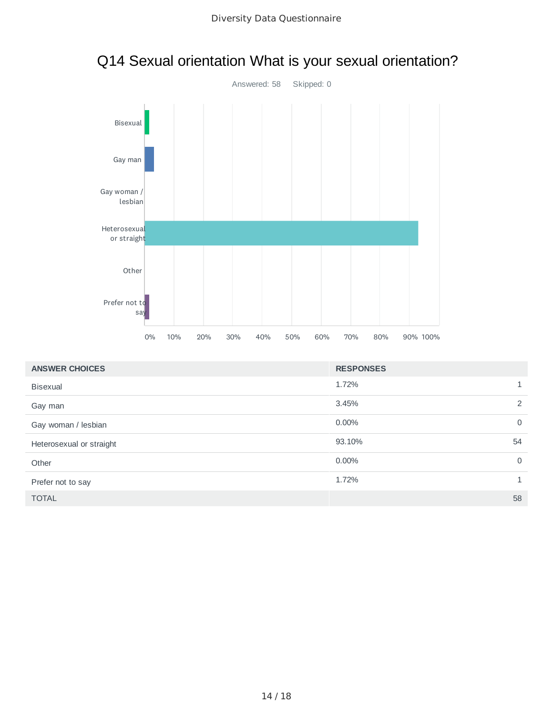

# Q14 Sexual orientation What is your sexual orientation?

| <b>ANSWER CHOICES</b>    | <b>RESPONSES</b>        |
|--------------------------|-------------------------|
| <b>Bisexual</b>          | 1.72%<br>$\mathbf{1}$   |
| Gay man                  | 2<br>3.45%              |
| Gay woman / lesbian      | $0.00\%$<br>$\mathbf 0$ |
| Heterosexual or straight | 93.10%<br>54            |
| Other                    | $0.00\%$<br>$\mathbf 0$ |
| Prefer not to say        | 1.72%<br>1              |
| <b>TOTAL</b>             | 58                      |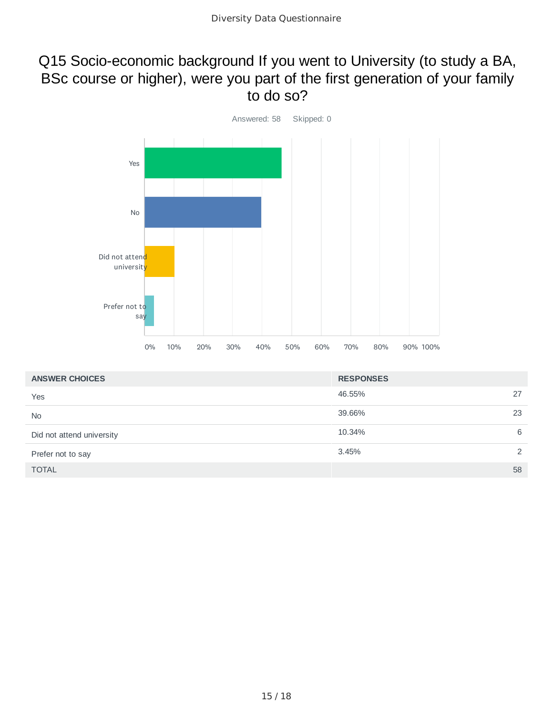### Q15 Socio-economic background If you went to University (to study a BA, BSc course or higher), were you part of the first generation of your family to do so?



| <b>ANSWER CHOICES</b>     | <b>RESPONSES</b> |    |
|---------------------------|------------------|----|
| Yes                       | 46.55%           | 27 |
| <b>No</b>                 | 39.66%           | 23 |
| Did not attend university | 10.34%           | 6  |
| Prefer not to say         | 3.45%            | 2  |
| <b>TOTAL</b>              |                  | 58 |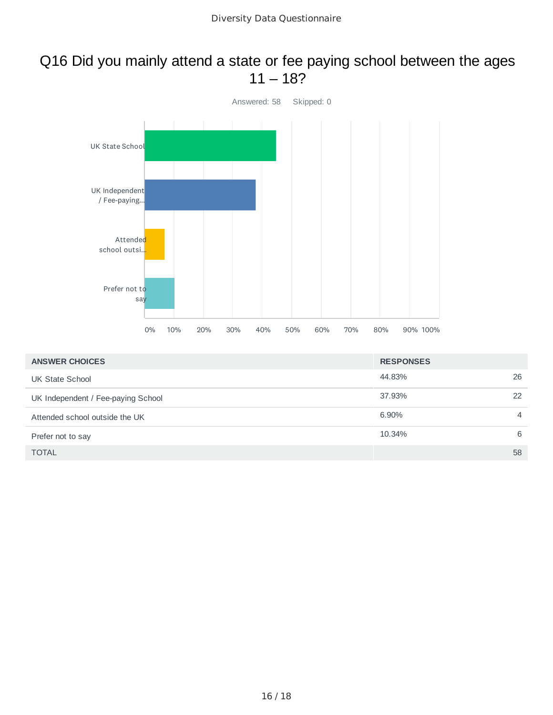#### Q16 Did you mainly attend a state or fee paying school between the ages  $11 - 18?$



| <b>ANSWER CHOICES</b>              | <b>RESPONSES</b> |    |
|------------------------------------|------------------|----|
| UK State School                    | 44.83%           | 26 |
| UK Independent / Fee-paying School | 37.93%           | 22 |
| Attended school outside the UK     | 6.90%            | 4  |
| Prefer not to say                  | 10.34%           | 6  |
| <b>TOTAL</b>                       |                  | 58 |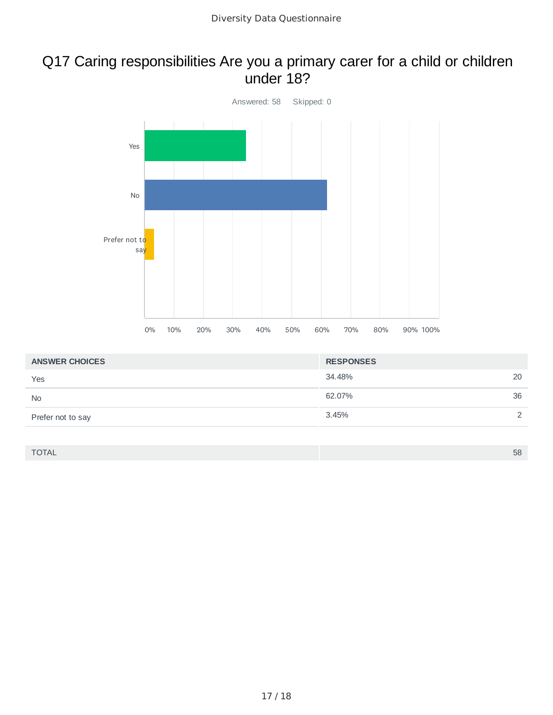#### Q17 Caring responsibilities Are you a primary carer for a child or children under 18?



| <b>ANSWER CHOICES</b> | <b>RESPONSES</b> |               |
|-----------------------|------------------|---------------|
| Yes                   | 34.48%           | 20            |
| <b>No</b>             | 62.07%           | 36            |
| Prefer not to say     | 3.45%            | $\mathcal{D}$ |

TOTAL 58